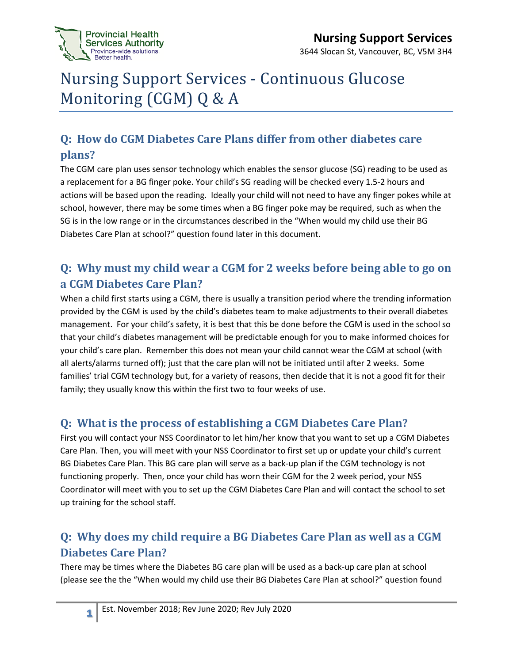

# Nursing Support Services - Continuous Glucose Monitoring (CGM) Q & A

## **Q: How do CGM Diabetes Care Plans differ from other diabetes care plans?**

The CGM care plan uses sensor technology which enables the sensor glucose (SG) reading to be used as a replacement for a BG finger poke. Your child's SG reading will be checked every 1.5-2 hours and actions will be based upon the reading. Ideally your child will not need to have any finger pokes while at school, however, there may be some times when a BG finger poke may be required, such as when the SG is in the low range or in the circumstances described in the "When would my child use their BG Diabetes Care Plan at school?" question found later in this document.

### **Q: Why must my child wear a CGM for 2 weeks before being able to go on a CGM Diabetes Care Plan?**

When a child first starts using a CGM, there is usually a transition period where the trending information provided by the CGM is used by the child's diabetes team to make adjustments to their overall diabetes management. For your child's safety, it is best that this be done before the CGM is used in the school so that your child's diabetes management will be predictable enough for you to make informed choices for your child's care plan. Remember this does not mean your child cannot wear the CGM at school (with all alerts/alarms turned off); just that the care plan will not be initiated until after 2 weeks. Some families' trial CGM technology but, for a variety of reasons, then decide that it is not a good fit for their family; they usually know this within the first two to four weeks of use.

#### **Q: What is the process of establishing a CGM Diabetes Care Plan?**

First you will contact your NSS Coordinator to let him/her know that you want to set up a CGM Diabetes Care Plan. Then, you will meet with your NSS Coordinator to first set up or update your child's current BG Diabetes Care Plan. This BG care plan will serve as a back-up plan if the CGM technology is not functioning properly. Then, once your child has worn their CGM for the 2 week period, your NSS Coordinator will meet with you to set up the CGM Diabetes Care Plan and will contact the school to set up training for the school staff.

## **Q: Why does my child require a BG Diabetes Care Plan as well as a CGM Diabetes Care Plan?**

There may be times where the Diabetes BG care plan will be used as a back-up care plan at school (please see the the "When would my child use their BG Diabetes Care Plan at school?" question found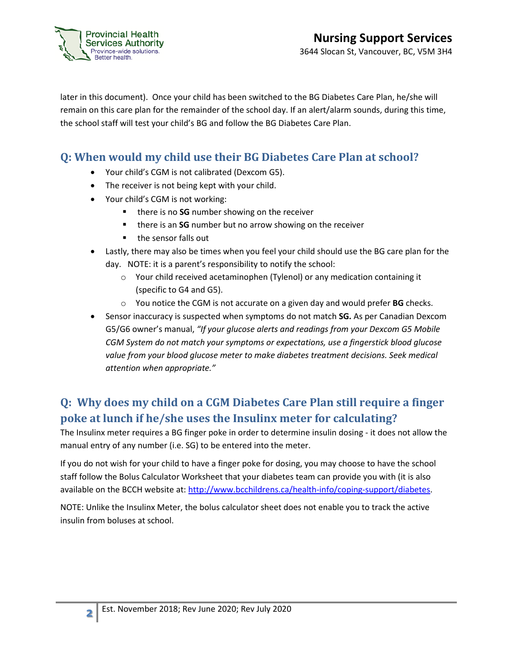

later in this document). Once your child has been switched to the BG Diabetes Care Plan, he/she will remain on this care plan for the remainder of the school day. If an alert/alarm sounds, during this time, the school staff will test your child's BG and follow the BG Diabetes Care Plan.

#### **Q: When would my child use their BG Diabetes Care Plan at school?**

- Your child's CGM is not calibrated (Dexcom G5).
- The receiver is not being kept with your child.
- Your child's CGM is not working:
	- **there is no SG** number showing on the receiver
	- **there is an SG** number but no arrow showing on the receiver
	- the sensor falls out
- Lastly, there may also be times when you feel your child should use the BG care plan for the day. NOTE: it is a parent's responsibility to notify the school:
	- o Your child received acetaminophen (Tylenol) or any medication containing it (specific to G4 and G5).
	- o You notice the CGM is not accurate on a given day and would prefer **BG** checks.
- Sensor inaccuracy is suspected when symptoms do not match **SG.** As per Canadian Dexcom G5/G6 owner's manual, *"If your glucose alerts and readings from your Dexcom G5 Mobile CGM System do not match your symptoms or expectations, use a fingerstick blood glucose value from your blood glucose meter to make diabetes treatment decisions. Seek medical attention when appropriate."*

#### **Q: Why does my child on a CGM Diabetes Care Plan still require a finger poke at lunch if he/she uses the Insulinx meter for calculating?**

The Insulinx meter requires a BG finger poke in order to determine insulin dosing - it does not allow the manual entry of any number (i.e. SG) to be entered into the meter.

If you do not wish for your child to have a finger poke for dosing, you may choose to have the school staff follow the Bolus Calculator Worksheet that your diabetes team can provide you with (it is also available on the BCCH website at[: http://www.bcchildrens.ca/health-info/coping-support/diabetes.](http://www.bcchildrens.ca/health-info/coping-support/diabetes)

NOTE: Unlike the Insulinx Meter, the bolus calculator sheet does not enable you to track the active insulin from boluses at school.